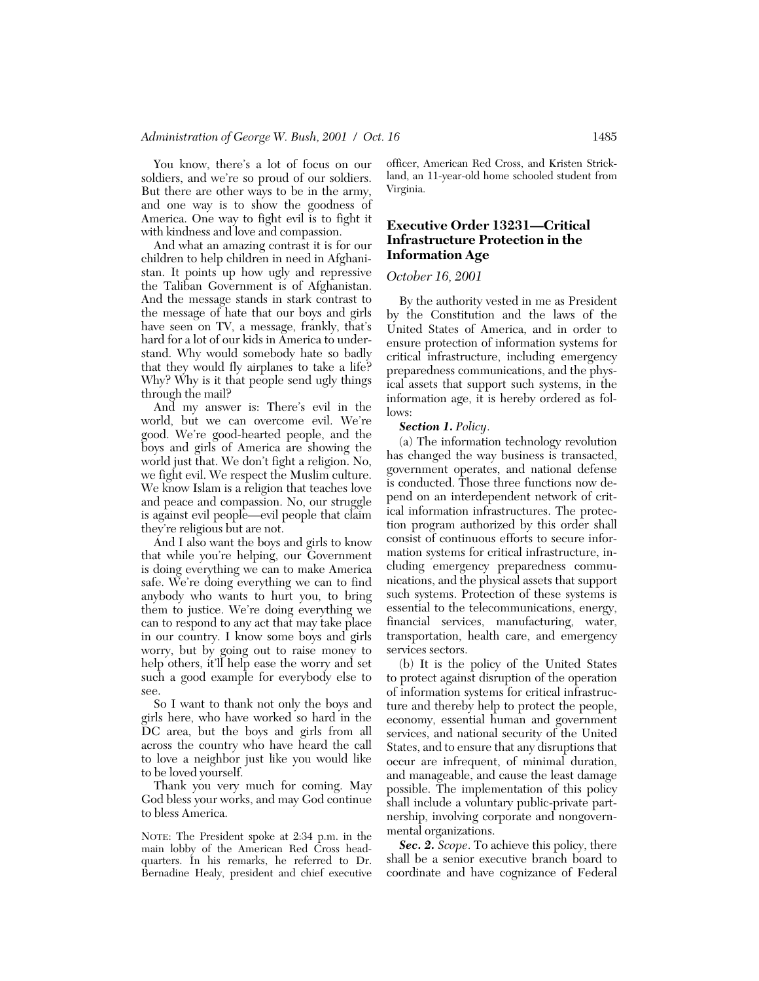You know, there's a lot of focus on our soldiers, and we're so proud of our soldiers. But there are other ways to be in the army, and one way is to show the goodness of America. One way to fight evil is to fight it with kindness and love and compassion.

And what an amazing contrast it is for our children to help children in need in Afghanistan. It points up how ugly and repressive the Taliban Government is of Afghanistan. And the message stands in stark contrast to the message of hate that our boys and girls have seen on TV, a message, frankly, that's hard for a lot of our kids in America to understand. Why would somebody hate so badly that they would fly airplanes to take a life? Why? Why is it that people send ugly things through the mail?

And my answer is: There's evil in the world, but we can overcome evil. We're good. We're good-hearted people, and the boys and girls of America are showing the world just that. We don't fight a religion. No, we fight evil. We respect the Muslim culture. We know Islam is a religion that teaches love and peace and compassion. No, our struggle is against evil people—evil people that claim they're religious but are not.

And I also want the boys and girls to know that while you're helping, our Government is doing everything we can to make America safe. We're doing everything we can to find anybody who wants to hurt you, to bring them to justice. We're doing everything we can to respond to any act that may take place in our country. I know some boys and girls worry, but by going out to raise money to help others, it'll help ease the worry and set such a good example for everybody else to see.

So I want to thank not only the boys and girls here, who have worked so hard in the DC area, but the boys and girls from all across the country who have heard the call to love a neighbor just like you would like to be loved yourself.

Thank you very much for coming. May God bless your works, and may God continue to bless America.

NOTE: The President spoke at 2:34 p.m. in the main lobby of the American Red Cross headquarters. In his remarks, he referred to Dr. Bernadine Healy, president and chief executive officer, American Red Cross, and Kristen Strickland, an 11-year-old home schooled student from Virginia.

# **Executive Order 13231—Critical Infrastructure Protection in the Information Age**

## *October 16, 2001*

By the authority vested in me as President by the Constitution and the laws of the United States of America, and in order to ensure protection of information systems for critical infrastructure, including emergency preparedness communications, and the physical assets that support such systems, in the information age, it is hereby ordered as follows:

## *Section 1. Policy*.

(a) The information technology revolution has changed the way business is transacted, government operates, and national defense is conducted. Those three functions now depend on an interdependent network of critical information infrastructures. The protection program authorized by this order shall consist of continuous efforts to secure information systems for critical infrastructure, including emergency preparedness communications, and the physical assets that support such systems. Protection of these systems is essential to the telecommunications, energy, financial services, manufacturing, water, transportation, health care, and emergency services sectors.

(b) It is the policy of the United States to protect against disruption of the operation of information systems for critical infrastructure and thereby help to protect the people, economy, essential human and government services, and national security of the United States, and to ensure that any disruptions that occur are infrequent, of minimal duration, and manageable, and cause the least damage possible. The implementation of this policy shall include a voluntary public-private partnership, involving corporate and nongovernmental organizations.

*Sec. 2. Scope*. To achieve this policy, there shall be a senior executive branch board to coordinate and have cognizance of Federal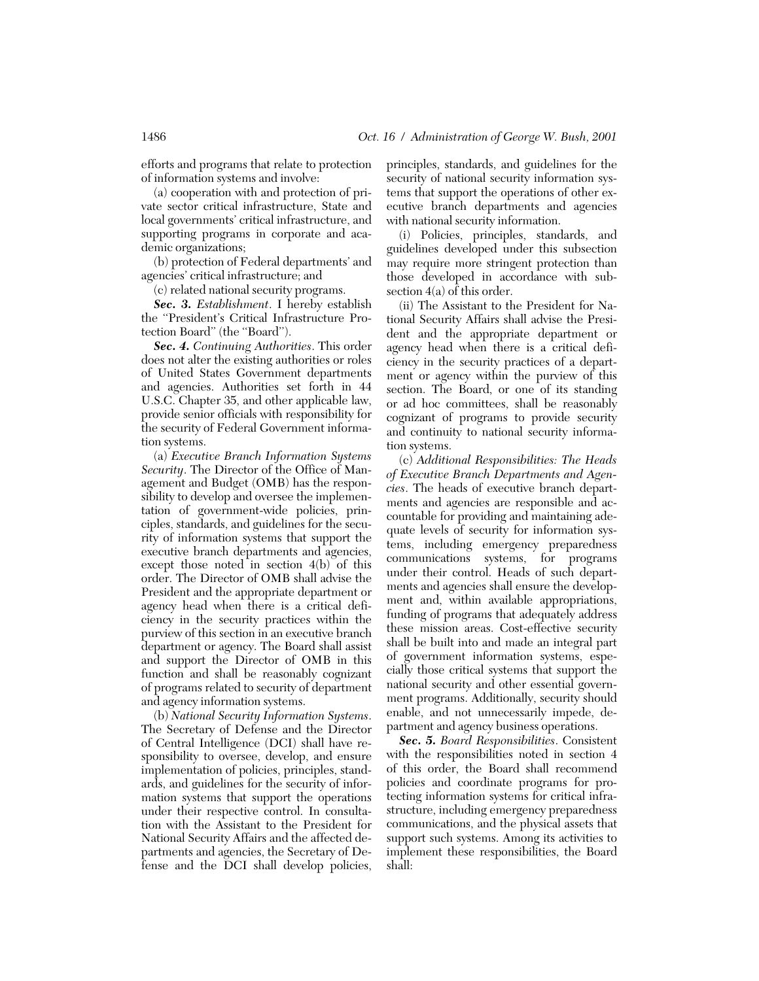efforts and programs that relate to protection of information systems and involve:

(a) cooperation with and protection of private sector critical infrastructure, State and local governments' critical infrastructure, and supporting programs in corporate and academic organizations;

(b) protection of Federal departments' and agencies' critical infrastructure; and

(c) related national security programs.

*Sec. 3. Establishment*. I hereby establish the ''President's Critical Infrastructure Protection Board'' (the ''Board'').

*Sec. 4. Continuing Authorities*. This order does not alter the existing authorities or roles of United States Government departments and agencies. Authorities set forth in 44 U.S.C. Chapter 35, and other applicable law, provide senior officials with responsibility for the security of Federal Government information systems.

(a) *Executive Branch Information Systems Security*. The Director of the Office of Management and Budget (OMB) has the responsibility to develop and oversee the implementation of government-wide policies, principles, standards, and guidelines for the security of information systems that support the executive branch departments and agencies, except those noted in section 4(b) of this order. The Director of OMB shall advise the President and the appropriate department or agency head when there is a critical deficiency in the security practices within the purview of this section in an executive branch department or agency. The Board shall assist and support the Director of OMB in this function and shall be reasonably cognizant of programs related to security of department and agency information systems.

(b) *National Security Information Systems*. The Secretary of Defense and the Director of Central Intelligence (DCI) shall have responsibility to oversee, develop, and ensure implementation of policies, principles, standards, and guidelines for the security of information systems that support the operations under their respective control. In consultation with the Assistant to the President for National Security Affairs and the affected departments and agencies, the Secretary of Defense and the DCI shall develop policies,

principles, standards, and guidelines for the security of national security information systems that support the operations of other executive branch departments and agencies with national security information.

(i) Policies, principles, standards, and guidelines developed under this subsection may require more stringent protection than those developed in accordance with subsection 4(a) of this order.

(ii) The Assistant to the President for National Security Affairs shall advise the President and the appropriate department or agency head when there is a critical deficiency in the security practices of a department or agency within the purview of this section. The Board, or one of its standing or ad hoc committees, shall be reasonably cognizant of programs to provide security and continuity to national security information systems.

(c) *Additional Responsibilities: The Heads of Executive Branch Departments and Agencies*. The heads of executive branch departments and agencies are responsible and accountable for providing and maintaining adequate levels of security for information systems, including emergency preparedness communications systems, for programs under their control. Heads of such departments and agencies shall ensure the development and, within available appropriations, funding of programs that adequately address these mission areas. Cost-effective security shall be built into and made an integral part of government information systems, especially those critical systems that support the national security and other essential government programs. Additionally, security should enable, and not unnecessarily impede, department and agency business operations.

*Sec. 5. Board Responsibilities*. Consistent with the responsibilities noted in section 4 of this order, the Board shall recommend policies and coordinate programs for protecting information systems for critical infrastructure, including emergency preparedness communications, and the physical assets that support such systems. Among its activities to implement these responsibilities, the Board shall: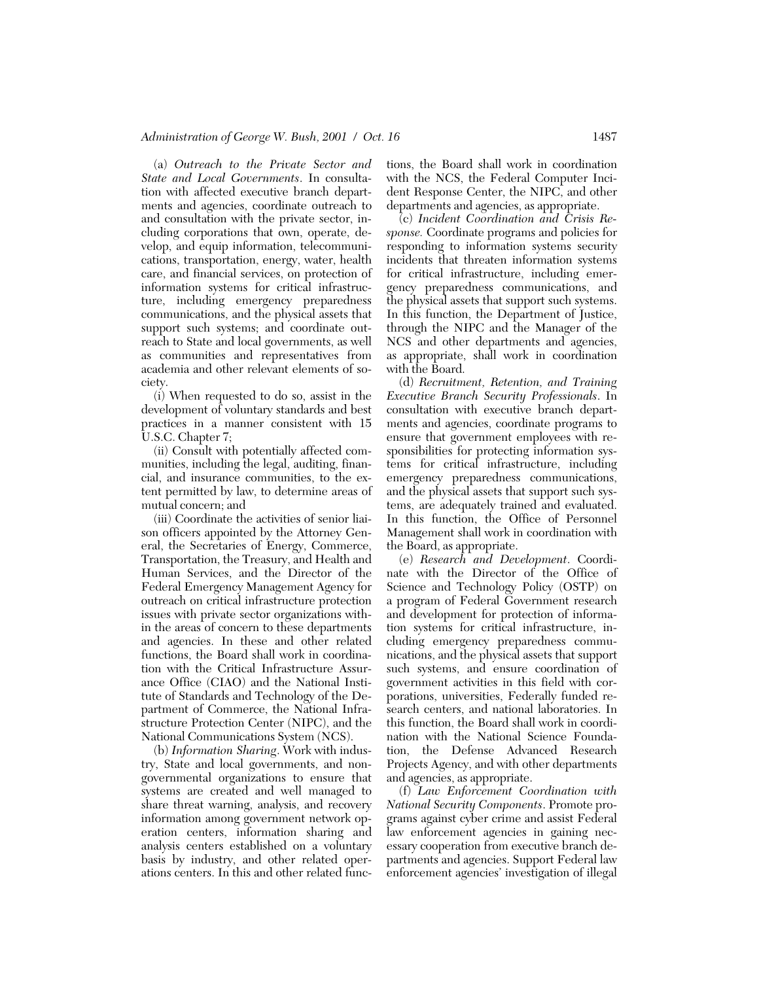(a) *Outreach to the Private Sector and State and Local Governments*. In consultation with affected executive branch departments and agencies, coordinate outreach to and consultation with the private sector, including corporations that own, operate, develop, and equip information, telecommunications, transportation, energy, water, health care, and financial services, on protection of information systems for critical infrastructure, including emergency preparedness communications, and the physical assets that support such systems; and coordinate outreach to State and local governments, as well as communities and representatives from academia and other relevant elements of society.

(i) When requested to do so, assist in the development of voluntary standards and best practices in a manner consistent with 15 U.S.C. Chapter 7;

(ii) Consult with potentially affected communities, including the legal, auditing, financial, and insurance communities, to the extent permitted by law, to determine areas of mutual concern; and

(iii) Coordinate the activities of senior liaison officers appointed by the Attorney General, the Secretaries of Energy, Commerce, Transportation, the Treasury, and Health and Human Services, and the Director of the Federal Emergency Management Agency for outreach on critical infrastructure protection issues with private sector organizations within the areas of concern to these departments and agencies. In these and other related functions, the Board shall work in coordination with the Critical Infrastructure Assurance Office (CIAO) and the National Institute of Standards and Technology of the Department of Commerce, the National Infrastructure Protection Center (NIPC), and the National Communications System (NCS).

(b) *Information Sharing*. Work with industry, State and local governments, and nongovernmental organizations to ensure that systems are created and well managed to share threat warning, analysis, and recovery information among government network operation centers, information sharing and analysis centers established on a voluntary basis by industry, and other related operations centers. In this and other related func-

tions, the Board shall work in coordination with the NCS, the Federal Computer Incident Response Center, the NIPC, and other departments and agencies, as appropriate.

(c) *Incident Coordination and Crisis Response.* Coordinate programs and policies for responding to information systems security incidents that threaten information systems for critical infrastructure, including emergency preparedness communications, and the physical assets that support such systems. In this function, the Department of Justice, through the NIPC and the Manager of the NCS and other departments and agencies, as appropriate, shall work in coordination with the Board.

(d) *Recruitment, Retention, and Training Executive Branch Security Professionals*. In consultation with executive branch departments and agencies, coordinate programs to ensure that government employees with responsibilities for protecting information systems for critical infrastructure, including emergency preparedness communications, and the physical assets that support such systems, are adequately trained and evaluated. In this function, the Office of Personnel Management shall work in coordination with the Board, as appropriate.

(e) *Research and Development*. Coordinate with the Director of the Office of Science and Technology Policy (OSTP) on a program of Federal Government research and development for protection of information systems for critical infrastructure, including emergency preparedness communications, and the physical assets that support such systems, and ensure coordination of government activities in this field with corporations, universities, Federally funded research centers, and national laboratories. In this function, the Board shall work in coordination with the National Science Foundation, the Defense Advanced Research Projects Agency, and with other departments and agencies, as appropriate.

(f) *Law Enforcement Coordination with National Security Components*. Promote programs against cyber crime and assist Federal law enforcement agencies in gaining necessary cooperation from executive branch departments and agencies. Support Federal law enforcement agencies' investigation of illegal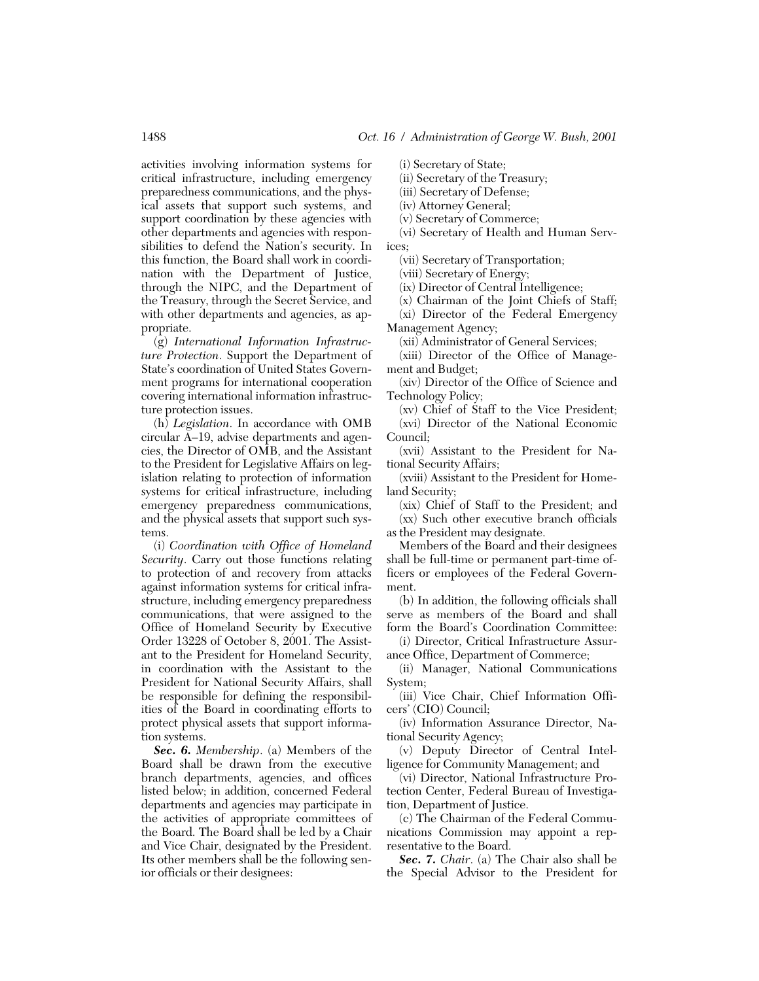activities involving information systems for critical infrastructure, including emergency preparedness communications, and the physical assets that support such systems, and support coordination by these agencies with other departments and agencies with responsibilities to defend the Nation's security. In this function, the Board shall work in coordination with the Department of Justice, through the NIPC, and the Department of the Treasury, through the Secret Service, and with other departments and agencies, as appropriate.

(g) *International Information Infrastructure Protection*. Support the Department of State's coordination of United States Government programs for international cooperation covering international information infrastructure protection issues.

(h) *Legislation*. In accordance with OMB circular A–19, advise departments and agencies, the Director of OMB, and the Assistant to the President for Legislative Affairs on legislation relating to protection of information systems for critical infrastructure, including emergency preparedness communications, and the physical assets that support such systems.

(i) *Coordination with Office of Homeland Security*. Carry out those functions relating to protection of and recovery from attacks against information systems for critical infrastructure, including emergency preparedness communications, that were assigned to the Office of Homeland Security by Executive Order 13228 of October 8, 2001. The Assistant to the President for Homeland Security, in coordination with the Assistant to the President for National Security Affairs, shall be responsible for defining the responsibilities of the Board in coordinating efforts to protect physical assets that support information systems.

*Sec. 6. Membership*. (a) Members of the Board shall be drawn from the executive branch departments, agencies, and offices listed below; in addition, concerned Federal departments and agencies may participate in the activities of appropriate committees of the Board. The Board shall be led by a Chair and Vice Chair, designated by the President. Its other members shall be the following senior officials or their designees:

(i) Secretary of State;

(ii) Secretary of the Treasury;

(iii) Secretary of Defense;

(iv) Attorney General;

(v) Secretary of Commerce;

(vi) Secretary of Health and Human Services;

(vii) Secretary of Transportation;

(viii) Secretary of Energy;

(ix) Director of Central Intelligence;

(x) Chairman of the Joint Chiefs of Staff;

(xi) Director of the Federal Emergency Management Agency;

(xii) Administrator of General Services;

(xiii) Director of the Office of Management and Budget;

(xiv) Director of the Office of Science and Technology Policy;

(xv) Chief of Staff to the Vice President; (xvi) Director of the National Economic Council;

(xvii) Assistant to the President for National Security Affairs;

(xviii) Assistant to the President for Homeland Security;

(xix) Chief of Staff to the President; and (xx) Such other executive branch officials

as the President may designate.

Members of the Board and their designees shall be full-time or permanent part-time officers or employees of the Federal Government.

(b) In addition, the following officials shall serve as members of the Board and shall form the Board's Coordination Committee:

(i) Director, Critical Infrastructure Assurance Office, Department of Commerce;

(ii) Manager, National Communications System;

(iii) Vice Chair, Chief Information Officers' (CIO) Council;

(iv) Information Assurance Director, National Security Agency;

(v) Deputy Director of Central Intelligence for Community Management; and

(vi) Director, National Infrastructure Protection Center, Federal Bureau of Investigation, Department of Justice.

(c) The Chairman of the Federal Communications Commission may appoint a representative to the Board.

*Sec. 7. Chair*. (a) The Chair also shall be the Special Advisor to the President for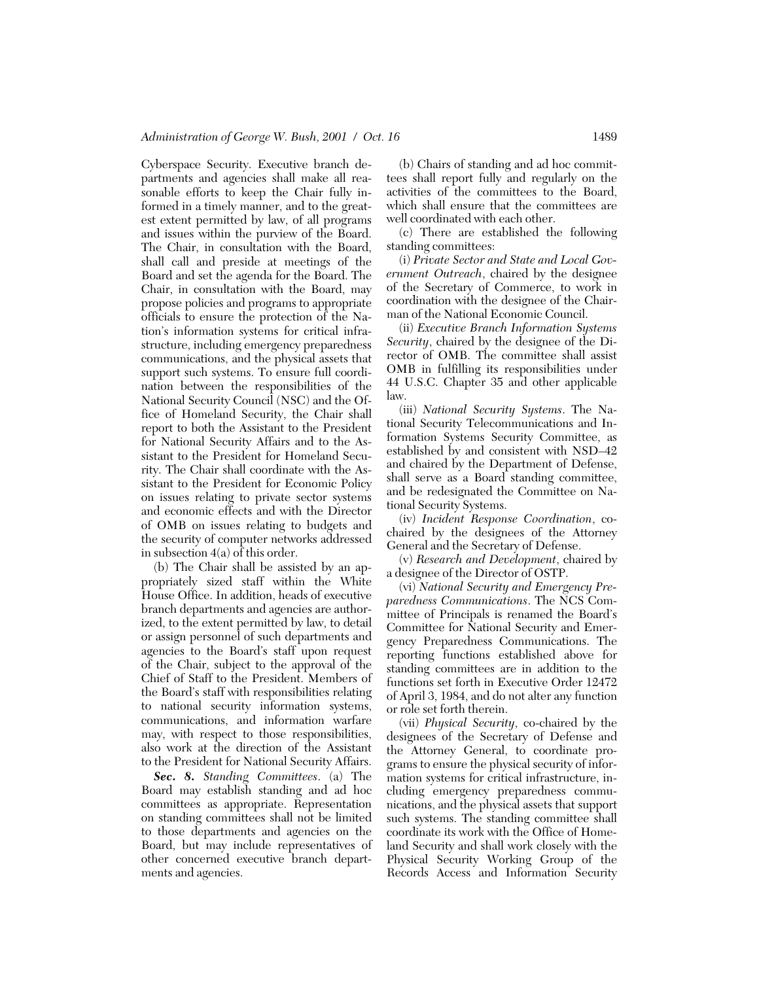Cyberspace Security. Executive branch departments and agencies shall make all reasonable efforts to keep the Chair fully informed in a timely manner, and to the greatest extent permitted by law, of all programs and issues within the purview of the Board. The Chair, in consultation with the Board, shall call and preside at meetings of the Board and set the agenda for the Board. The Chair, in consultation with the Board, may propose policies and programs to appropriate officials to ensure the protection of the Nation's information systems for critical infrastructure, including emergency preparedness communications, and the physical assets that support such systems. To ensure full coordination between the responsibilities of the National Security Council (NSC) and the Office of Homeland Security, the Chair shall report to both the Assistant to the President for National Security Affairs and to the Assistant to the President for Homeland Security. The Chair shall coordinate with the Assistant to the President for Economic Policy on issues relating to private sector systems and economic effects and with the Director of OMB on issues relating to budgets and the security of computer networks addressed in subsection  $4(a)$  of this order.

(b) The Chair shall be assisted by an appropriately sized staff within the White House Office. In addition, heads of executive branch departments and agencies are authorized, to the extent permitted by law, to detail or assign personnel of such departments and agencies to the Board's staff upon request of the Chair, subject to the approval of the Chief of Staff to the President. Members of the Board's staff with responsibilities relating to national security information systems, communications, and information warfare may, with respect to those responsibilities, also work at the direction of the Assistant to the President for National Security Affairs.

*Sec. 8. Standing Committees*. (a) The Board may establish standing and ad hoc committees as appropriate. Representation on standing committees shall not be limited to those departments and agencies on the Board, but may include representatives of other concerned executive branch departments and agencies.

(b) Chairs of standing and ad hoc committees shall report fully and regularly on the activities of the committees to the Board, which shall ensure that the committees are well coordinated with each other.

(c) There are established the following standing committees:

(i) *Private Sector and State and Local Government Outreach*, chaired by the designee of the Secretary of Commerce, to work in coordination with the designee of the Chairman of the National Economic Council.

(ii) *Executive Branch Information Systems Security*, chaired by the designee of the Director of OMB. The committee shall assist OMB in fulfilling its responsibilities under 44 U.S.C. Chapter 35 and other applicable law.

(iii) *National Security Systems*. The National Security Telecommunications and Information Systems Security Committee, as established by and consistent with NSD–42 and chaired by the Department of Defense, shall serve as a Board standing committee, and be redesignated the Committee on National Security Systems.

(iv) *Incident Response Coordination*, cochaired by the designees of the Attorney General and the Secretary of Defense.

(v) *Research and Development*, chaired by a designee of the Director of OSTP.

(vi) *National Security and Emergency Preparedness Communications*. The NCS Committee of Principals is renamed the Board's Committee for National Security and Emergency Preparedness Communications. The reporting functions established above for standing committees are in addition to the functions set forth in Executive Order 12472 of April 3, 1984, and do not alter any function or role set forth therein.

(vii) *Physical Security*, co-chaired by the designees of the Secretary of Defense and the Attorney General, to coordinate programs to ensure the physical security of information systems for critical infrastructure, including emergency preparedness communications, and the physical assets that support such systems. The standing committee shall coordinate its work with the Office of Homeland Security and shall work closely with the Physical Security Working Group of the Records Access and Information Security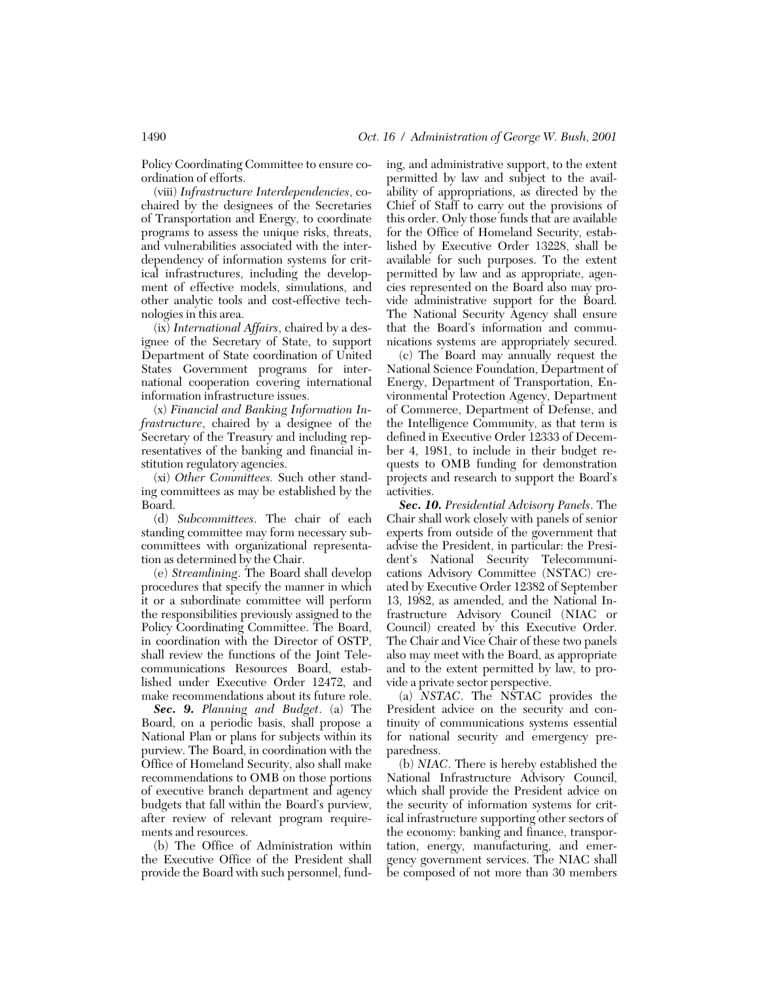Policy Coordinating Committee to ensure coordination of efforts.

(viii) *Infrastructure Interdependencies*, cochaired by the designees of the Secretaries of Transportation and Energy, to coordinate programs to assess the unique risks, threats, and vulnerabilities associated with the interdependency of information systems for critical infrastructures, including the development of effective models, simulations, and other analytic tools and cost-effective technologies in this area.

(ix) *International Affairs*, chaired by a designee of the Secretary of State, to support Department of State coordination of United States Government programs for international cooperation covering international information infrastructure issues.

(x) *Financial and Banking Information Infrastructure*, chaired by a designee of the Secretary of the Treasury and including representatives of the banking and financial institution regulatory agencies.

(xi) *Other Committees.* Such other standing committees as may be established by the Board.

(d) *Subcommittees*. The chair of each standing committee may form necessary subcommittees with organizational representation as determined by the Chair.

(e) *Streamlining*. The Board shall develop procedures that specify the manner in which it or a subordinate committee will perform the responsibilities previously assigned to the Policy Coordinating Committee. The Board, in coordination with the Director of OSTP, shall review the functions of the Joint Telecommunications Resources Board, established under Executive Order 12472, and make recommendations about its future role.

*Sec. 9. Planning and Budget*. (a) The Board, on a periodic basis, shall propose a National Plan or plans for subjects within its purview. The Board, in coordination with the Office of Homeland Security, also shall make recommendations to OMB on those portions of executive branch department and agency budgets that fall within the Board's purview, after review of relevant program requirements and resources.

(b) The Office of Administration within the Executive Office of the President shall provide the Board with such personnel, funding, and administrative support, to the extent permitted by law and subject to the availability of appropriations, as directed by the Chief of Staff to carry out the provisions of this order. Only those funds that are available for the Office of Homeland Security, established by Executive Order 13228, shall be available for such purposes. To the extent permitted by law and as appropriate, agencies represented on the Board also may provide administrative support for the Board. The National Security Agency shall ensure that the Board's information and communications systems are appropriately secured.

(c) The Board may annually request the National Science Foundation, Department of Energy, Department of Transportation, Environmental Protection Agency, Department of Commerce, Department of Defense, and the Intelligence Community, as that term is defined in Executive Order 12333 of December 4, 1981, to include in their budget requests to OMB funding for demonstration projects and research to support the Board's activities.

*Sec. 10. Presidential Advisory Panels*. The Chair shall work closely with panels of senior experts from outside of the government that advise the President, in particular: the President's National Security Telecommunications Advisory Committee (NSTAC) created by Executive Order 12382 of September 13, 1982, as amended, and the National Infrastructure Advisory Council (NIAC or Council) created by this Executive Order. The Chair and Vice Chair of these two panels also may meet with the Board, as appropriate and to the extent permitted by law, to provide a private sector perspective.

(a) *NSTAC*. The NSTAC provides the President advice on the security and continuity of communications systems essential for national security and emergency preparedness.

(b) *NIAC*. There is hereby established the National Infrastructure Advisory Council, which shall provide the President advice on the security of information systems for critical infrastructure supporting other sectors of the economy: banking and finance, transportation, energy, manufacturing, and emergency government services. The NIAC shall be composed of not more than 30 members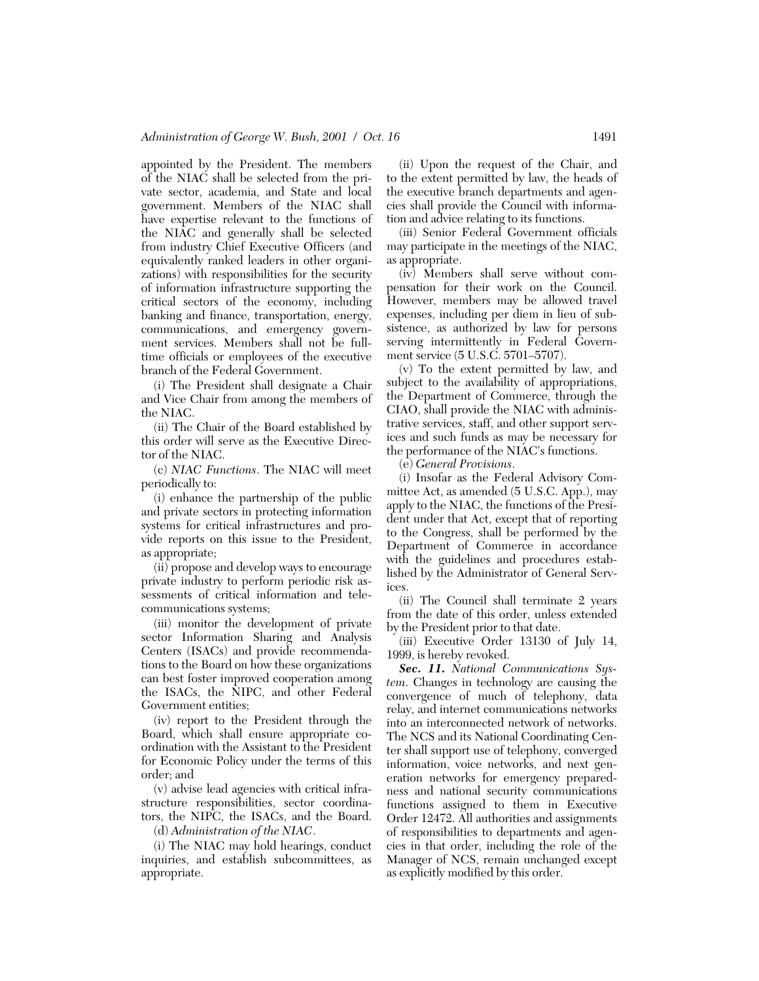appointed by the President. The members of the NIAC shall be selected from the private sector, academia, and State and local government. Members of the NIAC shall have expertise relevant to the functions of the NIAC and generally shall be selected from industry Chief Executive Officers (and equivalently ranked leaders in other organizations) with responsibilities for the security of information infrastructure supporting the critical sectors of the economy, including banking and finance, transportation, energy, communications, and emergency government services. Members shall not be fulltime officials or employees of the executive branch of the Federal Government.

(i) The President shall designate a Chair and Vice Chair from among the members of the NIAC.

(ii) The Chair of the Board established by this order will serve as the Executive Director of the NIAC.

(c) *NIAC Functions*. The NIAC will meet periodically to:

(i) enhance the partnership of the public and private sectors in protecting information systems for critical infrastructures and provide reports on this issue to the President, as appropriate;

(ii) propose and develop ways to encourage private industry to perform periodic risk assessments of critical information and telecommunications systems;

(iii) monitor the development of private sector Information Sharing and Analysis Centers (ISACs) and provide recommendations to the Board on how these organizations can best foster improved cooperation among the ISACs, the NIPC, and other Federal Government entities;

(iv) report to the President through the Board, which shall ensure appropriate coordination with the Assistant to the President for Economic Policy under the terms of this order; and

(v) advise lead agencies with critical infrastructure responsibilities, sector coordinators, the NIPC, the ISACs, and the Board.

(d) *Administration of the NIAC*.

(i) The NIAC may hold hearings, conduct inquiries, and establish subcommittees, as appropriate.

(ii) Upon the request of the Chair, and to the extent permitted by law, the heads of the executive branch departments and agencies shall provide the Council with information and advice relating to its functions.

(iii) Senior Federal Government officials may participate in the meetings of the NIAC, as appropriate.

(iv) Members shall serve without compensation for their work on the Council. However, members may be allowed travel expenses, including per diem in lieu of subsistence, as authorized by law for persons serving intermittently in Federal Government service (5 U.S.C. 5701–5707).

(v) To the extent permitted by law, and subject to the availability of appropriations, the Department of Commerce, through the CIAO, shall provide the NIAC with administrative services, staff, and other support services and such funds as may be necessary for the performance of the NIAC's functions.

(e) *General Provisions*.

(i) Insofar as the Federal Advisory Committee Act, as amended (5 U.S.C. App.), may apply to the NIAC, the functions of the President under that Act, except that of reporting to the Congress, shall be performed by the Department of Commerce in accordance with the guidelines and procedures established by the Administrator of General Services.

(ii) The Council shall terminate 2 years from the date of this order, unless extended by the President prior to that date.

(iii) Executive Order 13130 of July 14, 1999, is hereby revoked.

*Sec. 11. National Communications System*. Changes in technology are causing the convergence of much of telephony, data relay, and internet communications networks into an interconnected network of networks. The NCS and its National Coordinating Center shall support use of telephony, converged information, voice networks, and next generation networks for emergency preparedness and national security communications functions assigned to them in Executive Order 12472. All authorities and assignments of responsibilities to departments and agencies in that order, including the role of the Manager of NCS, remain unchanged except as explicitly modified by this order.